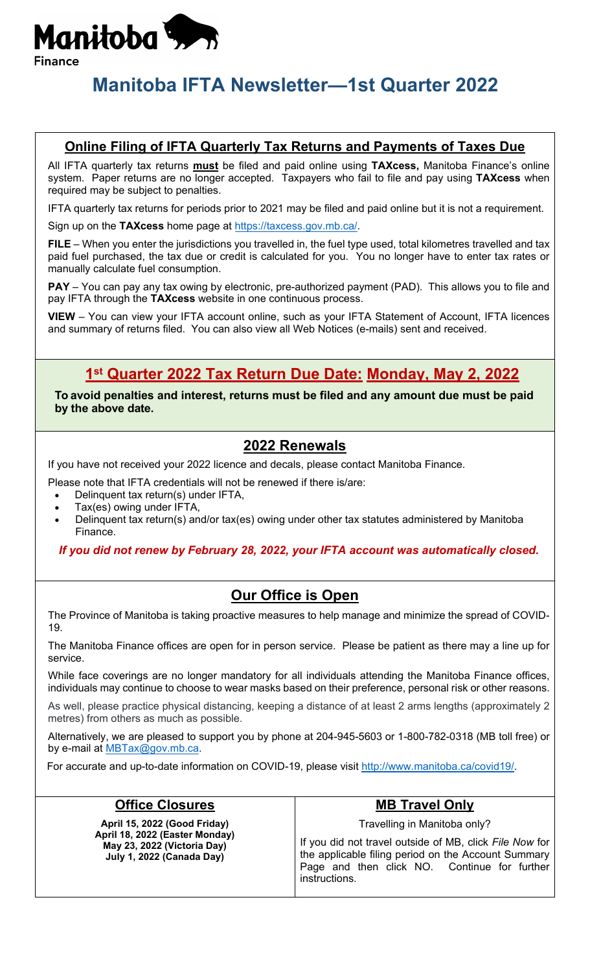

# **Manitoba IFTA Newsletter—1st Quarter 2022**

#### **Online Filing of IFTA Quarterly Tax Returns and Payments of Taxes Due**

All IFTA quarterly tax returns **must** be filed and paid online using **TAXcess,** Manitoba Finance's online system. Paper returns are no longer accepted. Taxpayers who fail to file and pay using **TAXcess** when required may be subject to penalties.

IFTA quarterly tax returns for periods prior to 2021 may be filed and paid online but it is not a requirement.

Sign up on the **TAXcess** home page at [https://taxcess.gov.mb.ca/.](https://taxcess.gov.mb.ca/)

**FILE** – When you enter the jurisdictions you travelled in, the fuel type used, total kilometres travelled and tax paid fuel purchased, the tax due or credit is calculated for you. You no longer have to enter tax rates or manually calculate fuel consumption.

**PAY** – You can pay any tax owing by electronic, pre-authorized payment (PAD). This allows you to file and pay IFTA through the **TAXcess** website in one continuous process.

**VIEW** – You can view your IFTA account online, such as your IFTA Statement of Account, IFTA licences and summary of returns filed. You can also view all Web Notices (e-mails) sent and received.

### **1st Quarter 2022 Tax Return Due Date: Monday, May 2, 2022**

**To avoid penalties and interest, returns must be filed and any amount due must be paid by the above date.**

### **2022 Renewals**

If you have not received your 2022 licence and decals, please contact Manitoba Finance.

Please note that IFTA credentials will not be renewed if there is/are:

- Delinquent tax return(s) under IFTA,
- Tax(es) owing under IFTA,
- Delinquent tax return(s) and/or tax(es) owing under other tax statutes administered by Manitoba Finance.

*If you did not renew by February 28, 2022, your IFTA account was automatically closed.*

### **Our Office is Open**

The Province of Manitoba is taking proactive measures to help manage and minimize the spread of COVID-19.

The Manitoba Finance offices are open for in person service. Please be patient as there may a line up for service.

While face coverings are no longer mandatory for all individuals attending the Manitoba Finance offices, individuals may continue to choose to wear masks based on their preference, personal risk or other reasons.

As well, please practice physical distancing, keeping a distance of at least 2 arms lengths (approximately 2 metres) from others as much as possible.

Alternatively, we are pleased to support you by phone at 204-945-5603 or 1-800-782-0318 (MB toll free) or by e-mail at [MBTax@gov.mb.ca.](mailto:MBTax@gov.mb.ca)

For accurate and up-to-date information on COVID-19, please visit [http://www.manitoba.ca/covid19/.](http://www.manitoba.ca/covid19/)

| <b>Office Closures</b>                                                                                                     | <b>MB Travel Only</b>                                                                                                                                                                                           |
|----------------------------------------------------------------------------------------------------------------------------|-----------------------------------------------------------------------------------------------------------------------------------------------------------------------------------------------------------------|
| April 15, 2022 (Good Friday)<br>April 18, 2022 (Easter Monday)<br>May 23, 2022 (Victoria Day)<br>July 1, 2022 (Canada Day) | Travelling in Manitoba only?<br>If you did not travel outside of MB, click File Now for<br>the applicable filing period on the Account Summary<br>Page and then click NO. Continue for further<br>instructions. |